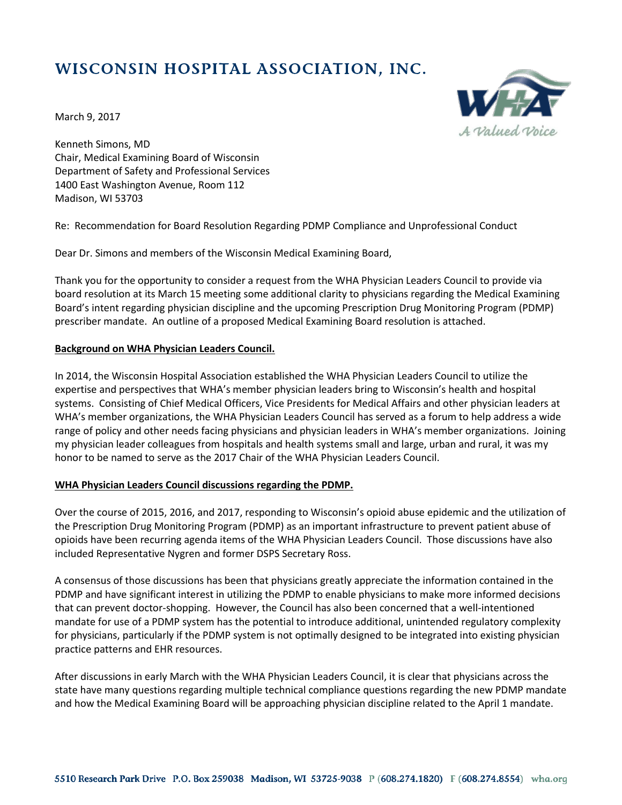# WISCONSIN HOSPITAL ASSOCIATION, INC.



March 9, 2017

Kenneth Simons, MD Chair, Medical Examining Board of Wisconsin Department of Safety and Professional Services 1400 East Washington Avenue, Room 112 Madison, WI 53703

Re: Recommendation for Board Resolution Regarding PDMP Compliance and Unprofessional Conduct

Dear Dr. Simons and members of the Wisconsin Medical Examining Board,

Thank you for the opportunity to consider a request from the WHA Physician Leaders Council to provide via board resolution at its March 15 meeting some additional clarity to physicians regarding the Medical Examining Board's intent regarding physician discipline and the upcoming Prescription Drug Monitoring Program (PDMP) prescriber mandate. An outline of a proposed Medical Examining Board resolution is attached.

#### **Background on WHA Physician Leaders Council.**

In 2014, the Wisconsin Hospital Association established the WHA Physician Leaders Council to utilize the expertise and perspectives that WHA's member physician leaders bring to Wisconsin's health and hospital systems. Consisting of Chief Medical Officers, Vice Presidents for Medical Affairs and other physician leaders at WHA's member organizations, the WHA Physician Leaders Council has served as a forum to help address a wide range of policy and other needs facing physicians and physician leaders in WHA's member organizations. Joining my physician leader colleagues from hospitals and health systems small and large, urban and rural, it was my honor to be named to serve as the 2017 Chair of the WHA Physician Leaders Council.

#### **WHA Physician Leaders Council discussions regarding the PDMP.**

Over the course of 2015, 2016, and 2017, responding to Wisconsin's opioid abuse epidemic and the utilization of the Prescription Drug Monitoring Program (PDMP) as an important infrastructure to prevent patient abuse of opioids have been recurring agenda items of the WHA Physician Leaders Council. Those discussions have also included Representative Nygren and former DSPS Secretary Ross.

A consensus of those discussions has been that physicians greatly appreciate the information contained in the PDMP and have significant interest in utilizing the PDMP to enable physicians to make more informed decisions that can prevent doctor-shopping. However, the Council has also been concerned that a well-intentioned mandate for use of a PDMP system has the potential to introduce additional, unintended regulatory complexity for physicians, particularly if the PDMP system is not optimally designed to be integrated into existing physician practice patterns and EHR resources.

After discussions in early March with the WHA Physician Leaders Council, it is clear that physicians across the state have many questions regarding multiple technical compliance questions regarding the new PDMP mandate and how the Medical Examining Board will be approaching physician discipline related to the April 1 mandate.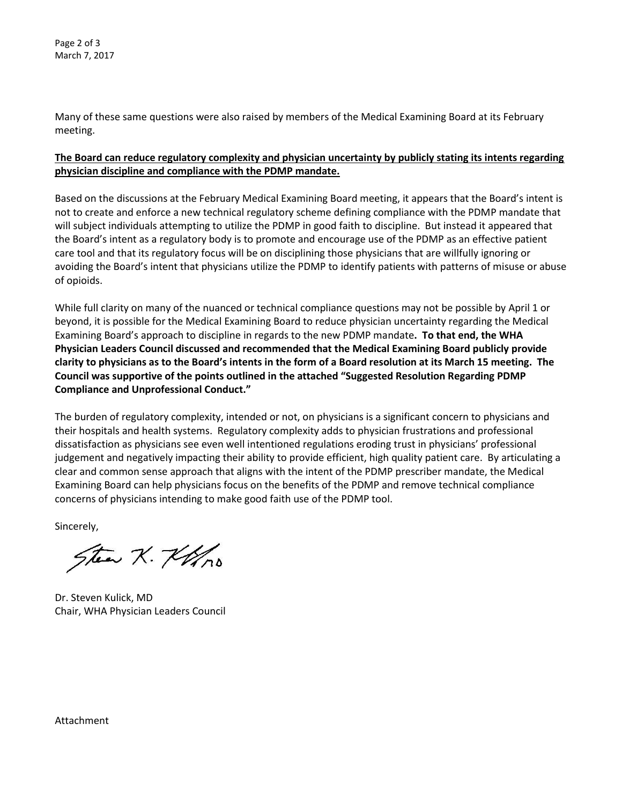Page 2 of 3 March 7, 2017

Many of these same questions were also raised by members of the Medical Examining Board at its February meeting.

### **The Board can reduce regulatory complexity and physician uncertainty by publicly stating its intents regarding physician discipline and compliance with the PDMP mandate.**

Based on the discussions at the February Medical Examining Board meeting, it appears that the Board's intent is not to create and enforce a new technical regulatory scheme defining compliance with the PDMP mandate that will subject individuals attempting to utilize the PDMP in good faith to discipline. But instead it appeared that the Board's intent as a regulatory body is to promote and encourage use of the PDMP as an effective patient care tool and that its regulatory focus will be on disciplining those physicians that are willfully ignoring or avoiding the Board's intent that physicians utilize the PDMP to identify patients with patterns of misuse or abuse of opioids.

While full clarity on many of the nuanced or technical compliance questions may not be possible by April 1 or beyond, it is possible for the Medical Examining Board to reduce physician uncertainty regarding the Medical Examining Board's approach to discipline in regards to the new PDMP mandate**. To that end, the WHA Physician Leaders Council discussed and recommended that the Medical Examining Board publicly provide clarity to physicians as to the Board's intents in the form of a Board resolution at its March 15 meeting. The Council was supportive of the points outlined in the attached "Suggested Resolution Regarding PDMP Compliance and Unprofessional Conduct."** 

The burden of regulatory complexity, intended or not, on physicians is a significant concern to physicians and their hospitals and health systems. Regulatory complexity adds to physician frustrations and professional dissatisfaction as physicians see even well intentioned regulations eroding trust in physicians' professional judgement and negatively impacting their ability to provide efficient, high quality patient care. By articulating a clear and common sense approach that aligns with the intent of the PDMP prescriber mandate, the Medical Examining Board can help physicians focus on the benefits of the PDMP and remove technical compliance concerns of physicians intending to make good faith use of the PDMP tool.

Sincerely,

Stea K. Kolo

Dr. Steven Kulick, MD Chair, WHA Physician Leaders Council

Attachment